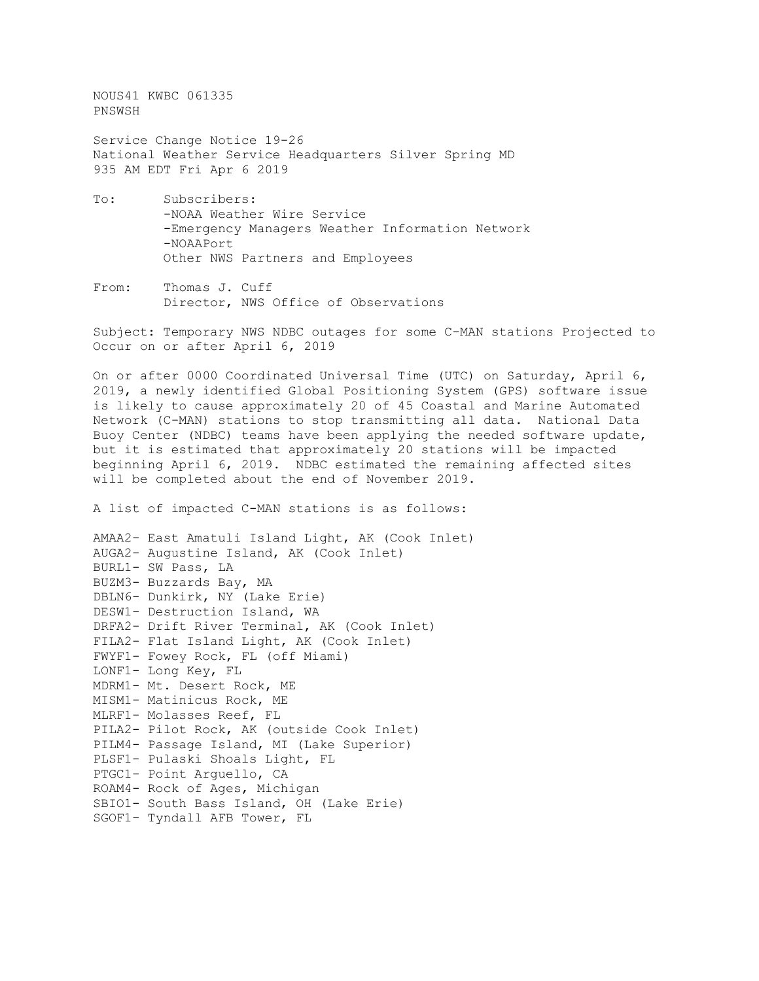NOUS41 KWBC 061335 PNSWSH

Service Change Notice 19-26 National Weather Service Headquarters Silver Spring MD 935 AM EDT Fri Apr 6 2019

- To: Subscribers: -NOAA Weather Wire Service -Emergency Managers Weather Information Network -NOAAPort Other NWS Partners and Employees
- From: Thomas J. Cuff Director, NWS Office of Observations

Subject: Temporary NWS NDBC outages for some C-MAN stations Projected to Occur on or after April 6, 2019

On or after 0000 Coordinated Universal Time (UTC) on Saturday, April 6, 2019, a newly identified Global Positioning System (GPS) software issue is likely to cause approximately 20 of 45 Coastal and Marine Automated Network (C-MAN) stations to stop transmitting all data. National Data Buoy Center (NDBC) teams have been applying the needed software update, but it is estimated that approximately 20 stations will be impacted beginning April 6, 2019. NDBC estimated the remaining affected sites will be completed about the end of November 2019.

A list of impacted C-MAN stations is as follows:

AMAA2- East Amatuli Island Light, AK (Cook Inlet) AUGA2- Augustine Island, AK (Cook Inlet) BURL1- SW Pass, LA BUZM3- Buzzards Bay, MA DBLN6- Dunkirk, NY (Lake Erie) DESW1- Destruction Island, WA DRFA2- Drift River Terminal, AK (Cook Inlet) FILA2- Flat Island Light, AK (Cook Inlet) FWYF1- Fowey Rock, FL (off Miami) LONF1- Long Key, FL MDRM1- Mt. Desert Rock, ME MISM1- Matinicus Rock, ME MLRF1- Molasses Reef, FL PILA2- Pilot Rock, AK (outside Cook Inlet) PILM4- Passage Island, MI (Lake Superior) PLSF1- Pulaski Shoals Light, FL PTGC1- Point Arguello, CA ROAM4- Rock of Ages, Michigan SBIO1- South Bass Island, OH (Lake Erie) SGOF1- Tyndall AFB Tower, FL